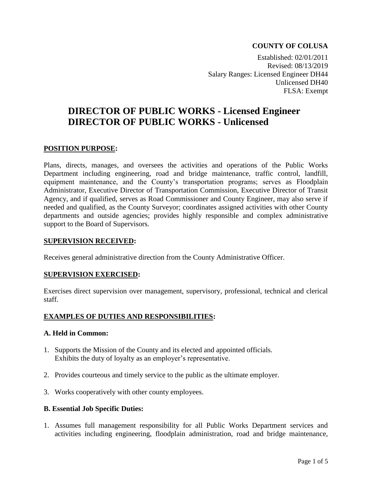# **COUNTY OF COLUSA**

Established: 02/01/2011 Revised: 08/13/2019 Salary Ranges: Licensed Engineer DH44 Unlicensed DH40 FLSA: Exempt

# **DIRECTOR OF PUBLIC WORKS - Licensed Engineer DIRECTOR OF PUBLIC WORKS - Unlicensed**

#### **POSITION PURPOSE:**

Plans, directs, manages, and oversees the activities and operations of the Public Works Department including engineering, road and bridge maintenance, traffic control, landfill, equipment maintenance, and the County's transportation programs; serves as Floodplain Administrator, Executive Director of Transportation Commission, Executive Director of Transit Agency, and if qualified, serves as Road Commissioner and County Engineer, may also serve if needed and qualified, as the County Surveyor; coordinates assigned activities with other County departments and outside agencies; provides highly responsible and complex administrative support to the Board of Supervisors.

#### **SUPERVISION RECEIVED:**

Receives general administrative direction from the County Administrative Officer.

#### **SUPERVISION EXERCISED:**

Exercises direct supervision over management, supervisory, professional, technical and clerical staff.

## **EXAMPLES OF DUTIES AND RESPONSIBILITIES:**

#### **A. Held in Common:**

- 1. Supports the Mission of the County and its elected and appointed officials. Exhibits the duty of loyalty as an employer's representative.
- 2. Provides courteous and timely service to the public as the ultimate employer.
- 3. Works cooperatively with other county employees.

## **B. Essential Job Specific Duties:**

1. Assumes full management responsibility for all Public Works Department services and activities including engineering, floodplain administration, road and bridge maintenance,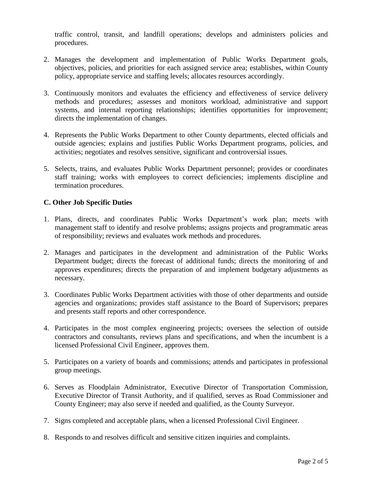traffic control, transit, and landfill operations; develops and administers policies and procedures.

- 2. Manages the development and implementation of Public Works Department goals, objectives, policies, and priorities for each assigned service area; establishes, within County policy, appropriate service and staffing levels; allocates resources accordingly.
- 3. Continuously monitors and evaluates the efficiency and effectiveness of service delivery methods and procedures; assesses and monitors workload, administrative and support systems, and internal reporting relationships; identifies opportunities for improvement; directs the implementation of changes.
- 4. Represents the Public Works Department to other County departments, elected officials and outside agencies; explains and justifies Public Works Department programs, policies, and activities; negotiates and resolves sensitive, significant and controversial issues.
- 5. Selects, trains, and evaluates Public Works Department personnel; provides or coordinates staff training; works with employees to correct deficiencies; implements discipline and termination procedures.

# **C. Other Job Specific Duties**

- 1. Plans, directs, and coordinates Public Works Department's work plan; meets with management staff to identify and resolve problems; assigns projects and programmatic areas of responsibility; reviews and evaluates work methods and procedures.
- 2. Manages and participates in the development and administration of the Public Works Department budget; directs the forecast of additional funds; directs the monitoring of and approves expenditures; directs the preparation of and implement budgetary adjustments as necessary.
- 3. Coordinates Public Works Department activities with those of other departments and outside agencies and organizations; provides staff assistance to the Board of Supervisors; prepares and presents staff reports and other correspondence.
- 4. Participates in the most complex engineering projects; oversees the selection of outside contractors and consultants, reviews plans and specifications, and when the incumbent is a licensed Professional Civil Engineer, approves them.
- 5. Participates on a variety of boards and commissions; attends and participates in professional group meetings.
- 6. Serves as Floodplain Administrator, Executive Director of Transportation Commission, Executive Director of Transit Authority, and if qualified, serves as Road Commissioner and County Engineer; may also serve if needed and qualified, as the County Surveyor.
- 7. Signs completed and acceptable plans, when a licensed Professional Civil Engineer.
- 8. Responds to and resolves difficult and sensitive citizen inquiries and complaints.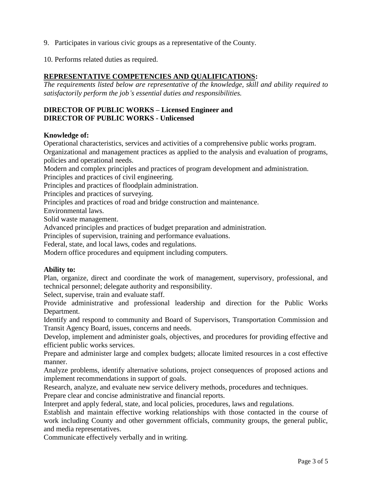9. Participates in various civic groups as a representative of the County.

10. Performs related duties as required.

## **REPRESENTATIVE COMPETENCIES AND QUALIFICATIONS:**

*The requirements listed below are representative of the knowledge, skill and ability required to satisfactorily perform the job's essential duties and responsibilities.*

## **DIRECTOR OF PUBLIC WORKS – Licensed Engineer and DIRECTOR OF PUBLIC WORKS - Unlicensed**

#### **Knowledge of:**

Operational characteristics, services and activities of a comprehensive public works program. Organizational and management practices as applied to the analysis and evaluation of programs, policies and operational needs.

Modern and complex principles and practices of program development and administration. Principles and practices of civil engineering.

Principles and practices of floodplain administration.

Principles and practices of surveying.

Principles and practices of road and bridge construction and maintenance.

Environmental laws.

Solid waste management.

Advanced principles and practices of budget preparation and administration.

Principles of supervision, training and performance evaluations.

Federal, state, and local laws, codes and regulations.

Modern office procedures and equipment including computers.

#### **Ability to:**

Plan, organize, direct and coordinate the work of management, supervisory, professional, and technical personnel; delegate authority and responsibility.

Select, supervise, train and evaluate staff.

Provide administrative and professional leadership and direction for the Public Works Department.

Identify and respond to community and Board of Supervisors, Transportation Commission and Transit Agency Board, issues, concerns and needs.

Develop, implement and administer goals, objectives, and procedures for providing effective and efficient public works services.

Prepare and administer large and complex budgets; allocate limited resources in a cost effective manner.

Analyze problems, identify alternative solutions, project consequences of proposed actions and implement recommendations in support of goals.

Research, analyze, and evaluate new service delivery methods, procedures and techniques.

Prepare clear and concise administrative and financial reports.

Interpret and apply federal, state, and local policies, procedures, laws and regulations.

Establish and maintain effective working relationships with those contacted in the course of work including County and other government officials, community groups, the general public, and media representatives.

Communicate effectively verbally and in writing.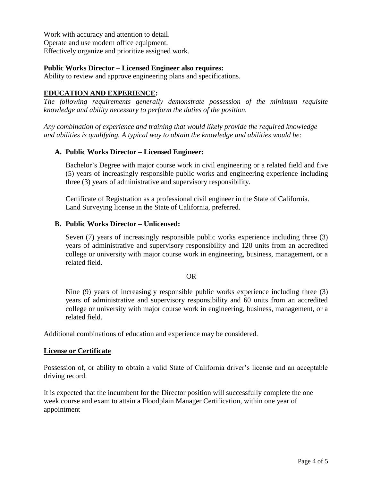Work with accuracy and attention to detail. Operate and use modern office equipment. Effectively organize and prioritize assigned work.

## **Public Works Director – Licensed Engineer also requires:**

Ability to review and approve engineering plans and specifications.

# **EDUCATION AND EXPERIENCE:**

*The following requirements generally demonstrate possession of the minimum requisite knowledge and ability necessary to perform the duties of the position.*

*Any combination of experience and training that would likely provide the required knowledge and abilities is qualifying. A typical way to obtain the knowledge and abilities would be:*

## **A. Public Works Director – Licensed Engineer:**

Bachelor's Degree with major course work in civil engineering or a related field and five (5) years of increasingly responsible public works and engineering experience including three (3) years of administrative and supervisory responsibility.

Certificate of Registration as a professional civil engineer in the State of California. Land Surveying license in the State of California, preferred.

#### **B. Public Works Director – Unlicensed:**

Seven (7) years of increasingly responsible public works experience including three (3) years of administrative and supervisory responsibility and 120 units from an accredited college or university with major course work in engineering, business, management, or a related field.

#### OR

Nine (9) years of increasingly responsible public works experience including three (3) years of administrative and supervisory responsibility and 60 units from an accredited college or university with major course work in engineering, business, management, or a related field.

Additional combinations of education and experience may be considered.

#### **License or Certificate**

Possession of, or ability to obtain a valid State of California driver's license and an acceptable driving record.

It is expected that the incumbent for the Director position will successfully complete the one week course and exam to attain a Floodplain Manager Certification, within one year of appointment